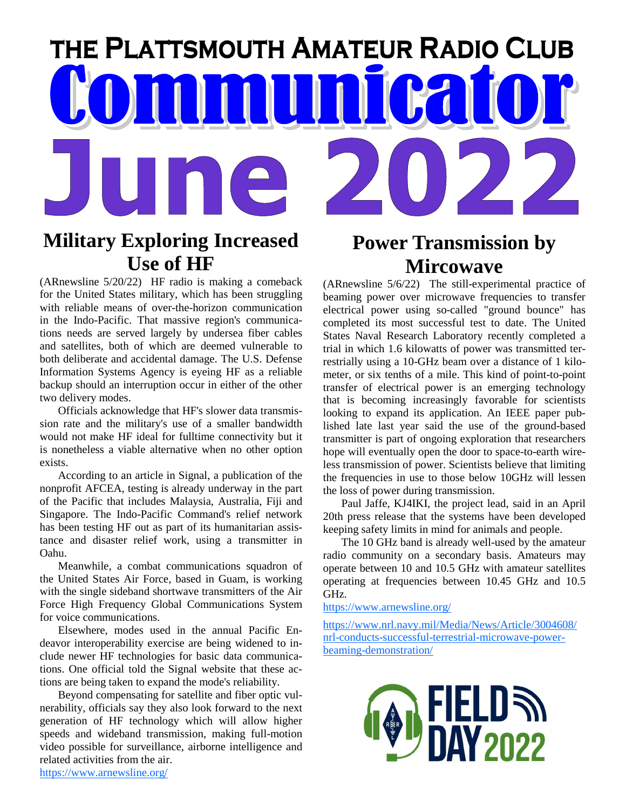# THE PLATTSMOUTH AMATEUR RADIO CLUB **MMMMM** Bal

## **Military Exploring Increased Use of HF**

(ARnewsline 5/20/22) HF radio is making a comeback for the United States military, which has been struggling with reliable means of over-the-horizon communication in the Indo-Pacific. That massive region's communications needs are served largely by undersea fiber cables and satellites, both of which are deemed vulnerable to both deliberate and accidental damage. The U.S. Defense Information Systems Agency is eyeing HF as a reliable backup should an interruption occur in either of the other two delivery modes.

Officials acknowledge that HF's slower data transmission rate and the military's use of a smaller bandwidth would not make HF ideal for fulltime connectivity but it is nonetheless a viable alternative when no other option exists.

According to an article in Signal, a publication of the nonprofit AFCEA, testing is already underway in the part of the Pacific that includes Malaysia, Australia, Fiji and Singapore. The Indo-Pacific Command's relief network has been testing HF out as part of its humanitarian assistance and disaster relief work, using a transmitter in Oahu.

Meanwhile, a combat communications squadron of the United States Air Force, based in Guam, is working with the single sideband shortwave transmitters of the Air Force High Frequency Global Communications System for voice communications.

Elsewhere, modes used in the annual Pacific Endeavor interoperability exercise are being widened to include newer HF technologies for basic data communications. One official told the Signal website that these actions are being taken to expand the mode's reliability.

Beyond compensating for satellite and fiber optic vulnerability, officials say they also look forward to the next generation of HF technology which will allow higher speeds and wideband transmission, making full-motion video possible for surveillance, airborne intelligence and related activities from the air.

## **Power Transmission by Mircowave**

(ARnewsline 5/6/22) The still-experimental practice of beaming power over microwave frequencies to transfer electrical power using so-called "ground bounce" has completed its most successful test to date. The United States Naval Research Laboratory recently completed a trial in which 1.6 kilowatts of power was transmitted terrestrially using a 10-GHz beam over a distance of 1 kilometer, or six tenths of a mile. This kind of point-to-point transfer of electrical power is an emerging technology that is becoming increasingly favorable for scientists looking to expand its application. An IEEE paper published late last year said the use of the ground-based transmitter is part of ongoing exploration that researchers hope will eventually open the door to space-to-earth wireless transmission of power. Scientists believe that limiting the frequencies in use to those below 10GHz will lessen the loss of power during transmission.

Paul Jaffe, KJ4IKI, the project lead, said in an April 20th press release that the systems have been developed keeping safety limits in mind for animals and people.

The 10 GHz band is already well-used by the amateur radio community on a secondary basis. Amateurs may operate between 10 and 10.5 GHz with amateur satellites operating at frequencies between 10.45 GHz and 10.5 GHz.

https://www.arnewsline.org/

https://www.nrl.navy.mil/Media/News/Article/3004608/ nrl-conducts-successful-terrestrial-microwave-powerbeaming-demonstration/